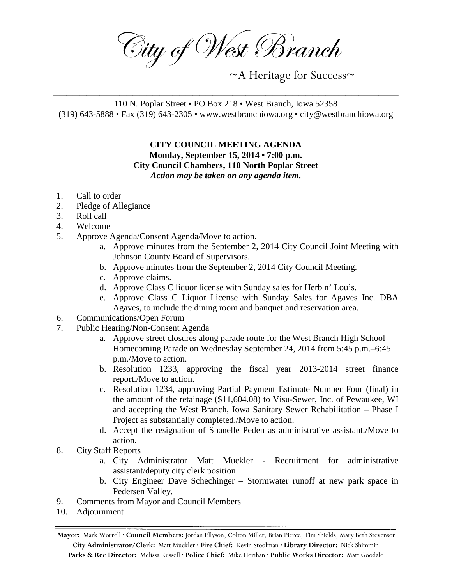City of West Branch

~A Heritage for Success~

110 N. Poplar Street • PO Box 218 • West Branch, Iowa 52358 (319) 643-5888 • Fax (319) 643-2305 • www.westbranchiowa.org • city@westbranchiowa.org

\_\_\_\_\_\_\_\_\_\_\_\_\_\_\_\_\_\_\_\_\_\_\_\_\_\_\_\_\_\_\_\_\_\_\_\_\_\_\_\_\_\_\_\_\_\_\_\_\_\_\_\_

**CITY COUNCIL MEETING AGENDA Monday, September 15, 2014 • 7:00 p.m. City Council Chambers, 110 North Poplar Street** *Action may be taken on any agenda item.*

- 1. Call to order
- 2. Pledge of Allegiance
- 3. Roll call
- 4. Welcome
- 5. Approve Agenda/Consent Agenda/Move to action.
	- a. Approve minutes from the September 2, 2014 City Council Joint Meeting with Johnson County Board of Supervisors.
	- b. Approve minutes from the September 2, 2014 City Council Meeting.
	- c. Approve claims.
	- d. Approve Class C liquor license with Sunday sales for Herb n' Lou's.
	- e. Approve Class C Liquor License with Sunday Sales for Agaves Inc. DBA Agaves, to include the dining room and banquet and reservation area.
- 6. Communications/Open Forum
- 7. Public Hearing/Non-Consent Agenda
	- a. Approve street closures along parade route for the West Branch High School Homecoming Parade on Wednesday September 24, 2014 from 5:45 p.m.–6:45 p.m./Move to action.
	- b. Resolution 1233, approving the fiscal year 2013-2014 street finance report./Move to action.
	- c. Resolution 1234, approving Partial Payment Estimate Number Four (final) in the amount of the retainage (\$11,604.08) to Visu-Sewer, Inc. of Pewaukee, WI and accepting the West Branch, Iowa Sanitary Sewer Rehabilitation – Phase I Project as substantially completed./Move to action.
	- d. Accept the resignation of Shanelle Peden as administrative assistant./Move to action.
- 8. City Staff Reports
	- a. City Administrator Matt Muckler Recruitment for administrative assistant/deputy city clerk position.
	- b. City Engineer Dave Schechinger Stormwater runoff at new park space in Pedersen Valley.
- 9. Comments from Mayor and Council Members
- 10. Adjournment

**Mayor:** Mark Worrell **· Council Members:** Jordan Ellyson, Colton Miller, Brian Pierce, Tim Shields, Mary Beth Stevenson **City Administrator/Clerk:** Matt Muckler **· Fire Chief:** Kevin Stoolman **· Library Director:** Nick Shimmin **Parks & Rec Director:** Melissa Russell **· Police Chief:** Mike Horihan **· Public Works Director:** Matt Goodale